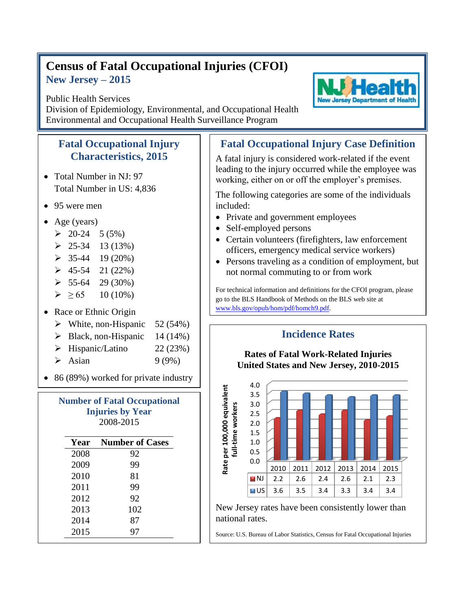## **Census of Fatal Occupational Injuries (CFOI) New Jersey – 2015**

## Public Health Services

Division of Epidemiology, Environmental, and Occupational Health Environmental and Occupational Health Surveillance Program

## **Fatal Occupational Injury Characteristics, 2015**

- Total Number in NJ: 97 Total Number in US: 4,836
- 95 were men
- Age (years)
	- $\geq 20-24$  5 (5%)
	- $\geq 25-34$  13 (13%)
	- $\geq 35-44$  19 (20%)
	- $\geq 45-54$  21 (22%)
	- $\geq 55-64$  29 (30%)
	- $\geq 65$  10 (10%)
- Race or Ethnic Origin
	- $\triangleright$  White, non-Hispanic 52 (54%)
	- $\triangleright$  Black, non-Hispanic 14 (14%)
	- $\triangleright$  Hispanic/Latino 22 (23%)
	- $\blacktriangleright$  Asian 9 (9%)
- 86 (89%) worked for private industry

| <b>Number of Fatal Occupational</b><br><b>Injuries by Year</b><br>2008-2015 |                        |
|-----------------------------------------------------------------------------|------------------------|
| Year                                                                        | <b>Number of Cases</b> |
| 2008                                                                        | 92                     |
| 2009                                                                        | 99                     |
| 2010                                                                        | 81                     |
| 2011                                                                        | 99                     |
| 2012                                                                        | 92                     |
| 2013                                                                        | 102                    |

2014 87 2015 97

## **Fatal Occupational Injury Case Definition**

A fatal injury is considered work-related if the event leading to the injury occurred while the employee was working, either on or off the employer's premises.

The following categories are some of the individuals included:

- Private and government employees
- Self-employed persons
- Certain volunteers (firefighters, law enforcement officers, emergency medical service workers)
- Persons traveling as a condition of employment, but not normal commuting to or from work

For technical information and definitions for the CFOI program, please go to the BLS Handbook of Methods on the BLS web site at [www.bls.gov/opub/hom/pdf/homch9.pdf.](file:///C:/WINNT/Profiles/borjan_m/Local%20Settings/Temporary%20Internet%20Files/Content.Outlook/9BTDUUSY/www.bls.gov/opub/hom/pdf/homch9.pdf)

**Incidence Rates**



New Jersey rates have been consistently lower than national rates.

Source: U.S. Bureau of Labor Statistics, Census for Fatal Occupational Injuries